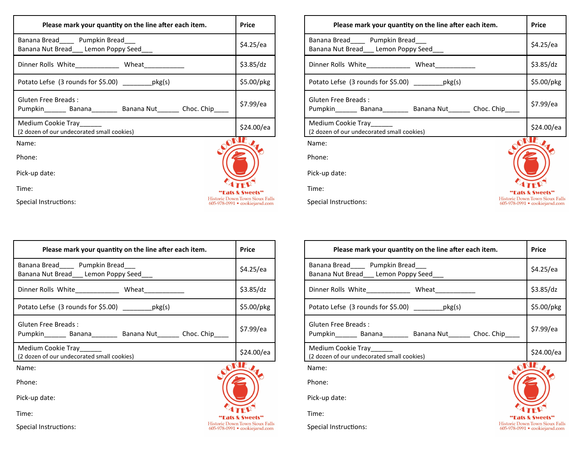| Please mark your quantity on the line after each item.                                  |                                                                         |  |  |  |  |
|-----------------------------------------------------------------------------------------|-------------------------------------------------------------------------|--|--|--|--|
| Banana Bread_____ Pumpkin Bread___<br>Banana Nut Bread Lemon Poppy Seed                 | \$4.25/ea                                                               |  |  |  |  |
| Dinner Rolls White_____________ Wheat____________                                       | \$3.85/dz                                                               |  |  |  |  |
| Potato Lefse $(3$ rounds for \$5.00) ______________pkg $(s)$                            | \$5.00/pkg                                                              |  |  |  |  |
| Gluten Free Breads:<br>Pumpkin________ Banana_________ Banana Nut_______ Choc. Chip____ | \$7.99/ea                                                               |  |  |  |  |
| Medium Cookie Tray_____<br>(2 dozen of our undecorated small cookies)                   | \$24.00/ea                                                              |  |  |  |  |
| Name:                                                                                   |                                                                         |  |  |  |  |
| Phone:                                                                                  |                                                                         |  |  |  |  |
| Pick-up date:                                                                           |                                                                         |  |  |  |  |
| Time:                                                                                   | Eats & Sweets"                                                          |  |  |  |  |
| Special Instructions:                                                                   | <b>Historic Down Town Sioux Falls</b><br>605-978-0991 • cookiejarsd.com |  |  |  |  |

| Time:<br>Special Instructions:                                                                     | <b>Historic Down Town Sioux Falls</b><br>605-978-0991 · cookiejarsd.com | Time:<br>Special Instructions:                                            |
|----------------------------------------------------------------------------------------------------|-------------------------------------------------------------------------|---------------------------------------------------------------------------|
| Please mark your quantity on the line after each item.                                             | <b>Price</b>                                                            | Please mark your quantity on                                              |
| Banana Bread_____ Pumpkin Bread___<br>Banana Nut Bread __ Lemon Poppy Seed___                      | \$4.25/ea                                                               | Banana Bread______ Pumpkin Bread___<br>Banana Nut Bread___ Lemon Poppy Se |
| Dinner Rolls White_____________ Wheat___________                                                   | \$3.85/dz                                                               | Dinner Rolls White______________ Wh                                       |
| Potato Lefse (3 rounds for \$5.00) __________ pkg(s)                                               | \$5.00/pkg                                                              | Potato Lefse (3 rounds for \$5.00) _                                      |
| <b>Gluten Free Breads:</b><br>Pumpkin_________ Banana__________ Banana Nut________ Choc. Chip_____ | \$7.99/ea                                                               | <b>Gluten Free Breads:</b><br>Pumpkin________ Banana_________ Ban         |
| Medium Cookie Tray<br>(2 dozen of our undecorated small cookies)                                   | \$24.00/ea                                                              | Medium Cookie Tray<br>(2 dozen of our undecorated small cookies)          |
| Name:                                                                                              |                                                                         | Name:                                                                     |
| Phone:                                                                                             |                                                                         | Phone:                                                                    |
| Pick-up date:                                                                                      |                                                                         | Pick-up date:                                                             |
| Time:                                                                                              |                                                                         | Time:                                                                     |
| Special Instructions:                                                                              | <b>Historic Down Town Sioux Falls</b><br>605-978-0991 · cookiejarsd.com | Special Instructions:                                                     |

Name: Phone:

Time:

Pick-up date:

| Please mark your quantity on the line after each item.                                 | Price                                                                   |
|----------------------------------------------------------------------------------------|-------------------------------------------------------------------------|
| Banana Bread_____ Pumpkin Bread___<br>Banana Nut Bread Lemon Poppy Seed                | \$4.25/ea                                                               |
| Dinner Rolls White ______________ Wheat __________                                     | \$3.85/dz                                                               |
| Potato Lefse (3 rounds for \$5.00) ___________pkg(s)                                   | $$5.00/$ pkg                                                            |
| Gluten Free Breads:<br>Pumpkin________ Banana_________ Banana Nut_______ Choc. Chip___ | \$7.99/ea                                                               |
| Medium Cookie Tray___<br>(2 dozen of our undecorated small cookies)                    | \$24.00/ea                                                              |
| Name:                                                                                  |                                                                         |
| Phone:                                                                                 |                                                                         |
| Pick-up date:                                                                          |                                                                         |
| Time:                                                                                  | ats & Sweets"                                                           |
| Special Instructions:                                                                  | <b>Historic Down Town Sioux Falls</b><br>605-978-0991 • cookiejarsd.com |

| Please mark your quantity on the line after each item.                             | <b>Price</b>                                                            |  |  |  |
|------------------------------------------------------------------------------------|-------------------------------------------------------------------------|--|--|--|
| Banana Bread______ Pumpkin Bread____<br>Banana Nut Bread Lemon Poppy Seed          | \$4.25/ea                                                               |  |  |  |
| Dinner Rolls White ______________ Wheat                                            | \$3.85/dz                                                               |  |  |  |
| Potato Lefse (3 rounds for \$5.00) pkg(s)                                          | \$5.00/pkg                                                              |  |  |  |
| Gluten Free Breads:<br>Pumpkin_______ Banana________ Banana Nut_______ Choc. Chip_ | \$7.99/ea                                                               |  |  |  |
| Medium Cookie Tray<br>(2 dozen of our undecorated small cookies)                   | \$24.00/ea                                                              |  |  |  |
| Name:                                                                              |                                                                         |  |  |  |
| Phone:                                                                             |                                                                         |  |  |  |
| Pick-up date:                                                                      |                                                                         |  |  |  |
| Time:                                                                              | Fats & Sweets"                                                          |  |  |  |
| Special Instructions:                                                              | <b>Historic Down Town Sioux Falls</b><br>605-978-0991 · cookiejarsd.com |  |  |  |